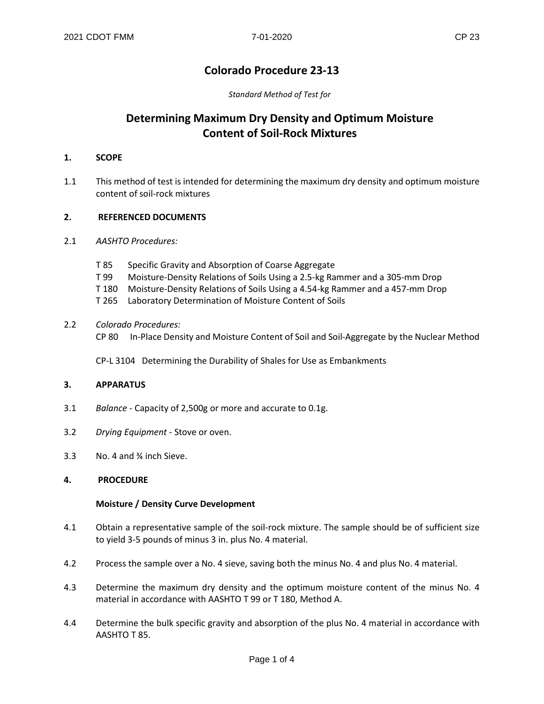# **Colorado Procedure 23-13**

*Standard Method of Test for*

# **Determining Maximum Dry Density and Optimum Moisture Content of Soil-Rock Mixtures**

#### **1. SCOPE**

1.1 This method of test is intended for determining the maximum dry density and optimum moisture content of soil-rock mixtures

#### **2. REFERENCED DOCUMENTS**

- 2.1 *AASHTO Procedures:*
	- T 85 Specific Gravity and Absorption of Coarse Aggregate
	- T 99 Moisture-Density Relations of Soils Using a 2.5-kg Rammer and a 305-mm Drop
	- T 180 Moisture-Density Relations of Soils Using a 4.54-kg Rammer and a 457-mm Drop
	- T 265 Laboratory Determination of Moisture Content of Soils
- 2.2 *Colorado Procedures:*
	- CP 80 In-Place Density and Moisture Content of Soil and Soil-Aggregate by the Nuclear Method

CP-L 3104 Determining the Durability of Shales for Use as Embankments

#### **3. APPARATUS**

- 3.1 *Balance* Capacity of 2,500g or more and accurate to 0.1g.
- 3.2 *Drying Equipment* Stove or oven.
- 3.3 No. 4 and ¾ inch Sieve.

#### **4. PROCEDURE**

#### **Moisture / Density Curve Development**

- 4.1 Obtain a representative sample of the soil-rock mixture. The sample should be of sufficient size to yield 3-5 pounds of minus 3 in. plus No. 4 material.
- 4.2 Process the sample over a No. 4 sieve, saving both the minus No. 4 and plus No. 4 material.
- 4.3 Determine the maximum dry density and the optimum moisture content of the minus No. 4 material in accordance with AASHTO T 99 or T 180, Method A.
- 4.4 Determine the bulk specific gravity and absorption of the plus No. 4 material in accordance with AASHTO T 85.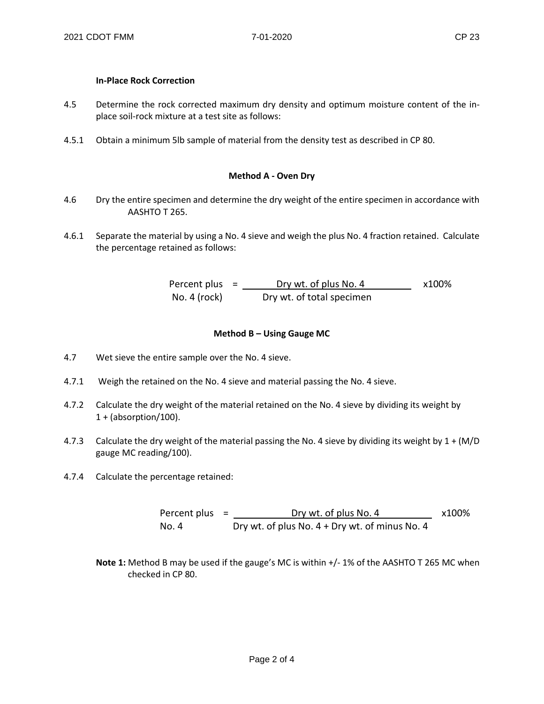### **In-Place Rock Correction**

- 4.5 Determine the rock corrected maximum dry density and optimum moisture content of the inplace soil-rock mixture at a test site as follows:
- 4.5.1 Obtain a minimum 5lb sample of material from the density test as described in CP 80.

### **Method A - Oven Dry**

- 4.6 Dry the entire specimen and determine the dry weight of the entire specimen in accordance with AASHTO T 265.
- 4.6.1 Separate the material by using a No. 4 sieve and weigh the plus No. 4 fraction retained. Calculate the percentage retained as follows:

Percent plus =  $\frac{Drywt. of plus No. 4}{x100\%}$ No. 4 (rock) Dry wt. of total specimen

#### **Method B – Using Gauge MC**

- 4.7 Wet sieve the entire sample over the No. 4 sieve.
- 4.7.1 Weigh the retained on the No. 4 sieve and material passing the No. 4 sieve.
- 4.7.2 Calculate the dry weight of the material retained on the No. 4 sieve by dividing its weight by 1 + (absorption/100).
- 4.7.3 Calculate the dry weight of the material passing the No. 4 sieve by dividing its weight by 1 + (M/D gauge MC reading/100).
- 4.7.4 Calculate the percentage retained:

Percent plus =  $_{\text{Dry wt. of plus No. 4}}$  x100% No. 4 Dry wt. of plus No. 4 + Dry wt. of minus No. 4

**Note 1:** Method B may be used if the gauge's MC is within +/- 1% of the AASHTO T 265 MC when checked in CP 80.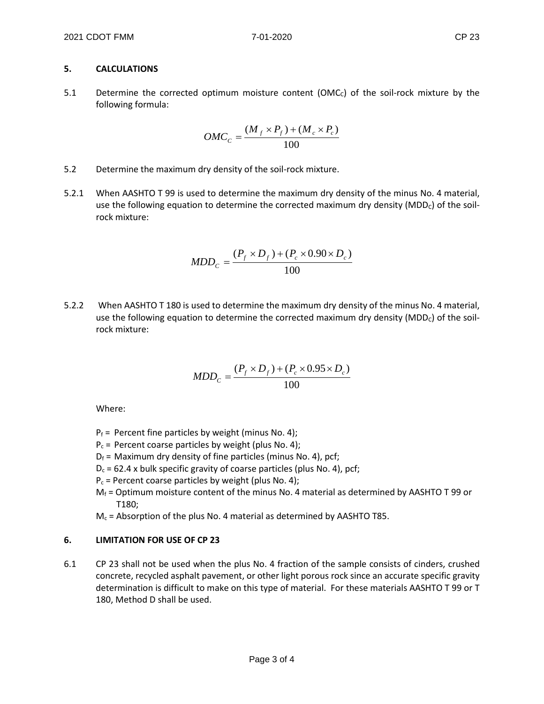## **5. CALCULATIONS**

5.1 Determine the corrected optimum moisture content ( $\text{OMC}_c$ ) of the soil-rock mixture by the following formula:

$$
OMC_C = \frac{(M_f \times P_f) + (M_c \times P_c)}{100}
$$

- 5.2 Determine the maximum dry density of the soil-rock mixture.
- 5.2.1 When AASHTO T 99 is used to determine the maximum dry density of the minus No. 4 material, use the following equation to determine the corrected maximum dry density (MDD<sub>C</sub>) of the soilrock mixture:

$$
MDD_c = \frac{(P_f \times D_f) + (P_c \times 0.90 \times D_c)}{100}
$$

5.2.2 When AASHTO T 180 is used to determine the maximum dry density of the minus No. 4 material, use the following equation to determine the corrected maximum dry density ( $MDD<sub>c</sub>$ ) of the soilrock mixture:

$$
MDD_c = \frac{(P_f \times D_f) + (P_c \times 0.95 \times D_c)}{100}
$$

Where:

- $P_f$  = Percent fine particles by weight (minus No. 4);
- $P_c$  = Percent coarse particles by weight (plus No. 4);
- $D_f$  = Maximum dry density of fine particles (minus No. 4), pcf;
- $D_c$  = 62.4 x bulk specific gravity of coarse particles (plus No. 4), pcf;
- $P_c$  = Percent coarse particles by weight (plus No. 4);
- $M_f$  = Optimum moisture content of the minus No. 4 material as determined by AASHTO T 99 or T180;
- $M_c$  = Absorption of the plus No. 4 material as determined by AASHTO T85.

## **6. LIMITATION FOR USE OF CP 23**

6.1 CP 23 shall not be used when the plus No. 4 fraction of the sample consists of cinders, crushed concrete, recycled asphalt pavement, or other light porous rock since an accurate specific gravity determination is difficult to make on this type of material. For these materials AASHTO T 99 or T 180, Method D shall be used.